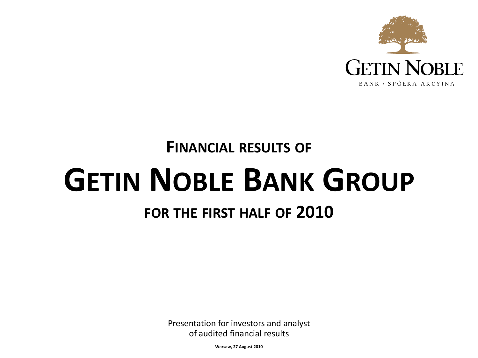

## **FINANCIAL RESULTS OF GETIN NOBLE BANK GROUP**

## **FOR THE FIRST HALF OF 2010**

Presentation for investors and analyst of audited financial results

**Warsaw, 27 August 2010**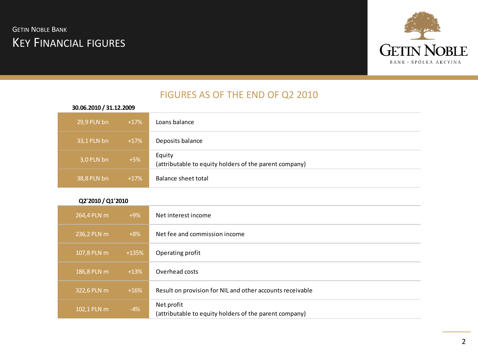#### **GETIN NOBLE BANK** KEY FINANCIAL FIGURES



#### FIGURES AS OF THE END OF Q2 2010

| 30.06.2010 / 31.12.2009 |        |                                                                  |
|-------------------------|--------|------------------------------------------------------------------|
| 29,9 PLN bn             | $+17%$ | Loans balance                                                    |
| 33,1 PLN bn             | $+17%$ | Deposits balance                                                 |
| 3,0 PLN bn              | $+5%$  | Equity<br>(attributable to equity holders of the parent company) |
| 38,8 PLN bn             | $+17%$ | Balance sheet total                                              |

#### **Q2'2010 / Q1'2010**

| 264,4 PLN m | $+9\%$  | Net interest income                                                  |
|-------------|---------|----------------------------------------------------------------------|
| 236,2 PLN m | $+8\%$  | Net fee and commission income                                        |
| 107,8 PLN m | $+135%$ | Operating profit                                                     |
| 186,8 PLN m | $+13%$  | Overhead costs                                                       |
| 322,6 PLN m | $+16%$  | Result on provision for NIL and other accounts receivable            |
| 102,1 PLN m | $-4%$   | Net profit<br>(attributable to equity holders of the parent company) |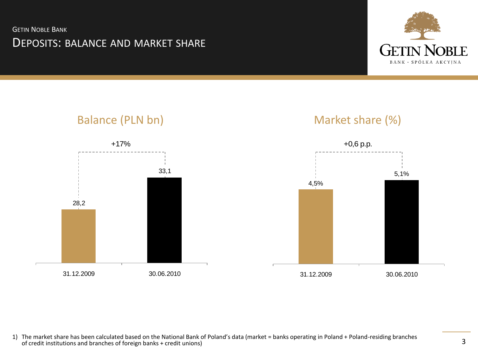**GETIN NOBLE BANK** 

#### DEPOSITS: BALANCE AND MARKET SHARE







1) The market share has been calculated based on the National Bank of Poland's data (market = banks operating in Poland + Poland-residing branches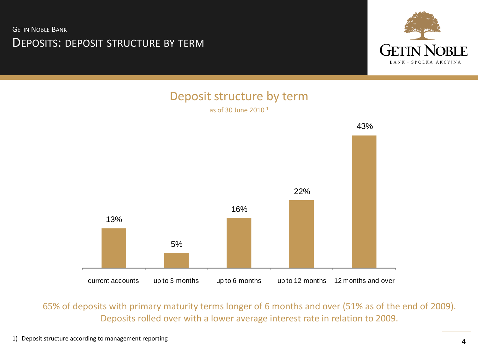**GETIN NOBLE BANK** 

#### DEPOSITS: DEPOSIT STRUCTURE BY TERM



## Deposit structure by term



65% of deposits with primary maturity terms longer of 6 months and over (51% as of the end of 2009). Deposits rolled over with a lower average interest rate in relation to 2009.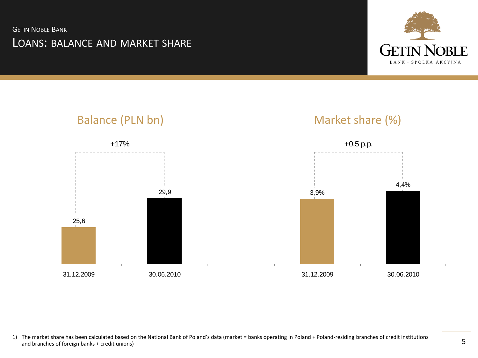**GETIN NOBLE BANK** LOANS: BALANCE AND MARKET SHARE





1) The market share has been calculated based on the National Bank of Poland's data (market = banks operating in Poland + Poland-residing branches of credit institutions and branches of foreign banks + credit unions)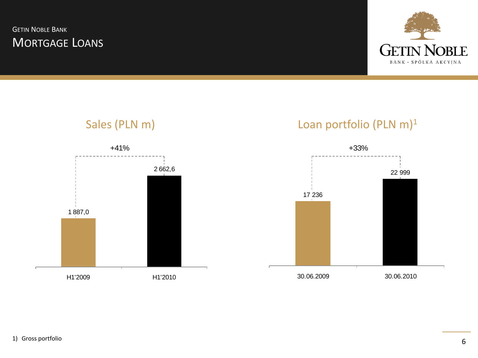**GETIN NOBLE BANK** MORTGAGE LOANS



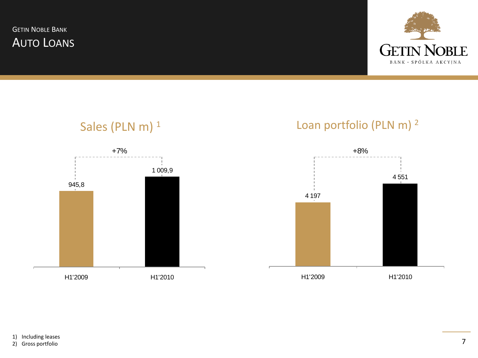**GETIN NOBLE** BANK · SPÓŁKA AKCYJNA

**GETIN NOBLE BANK** AUTO LOANS





2) Gross portfolio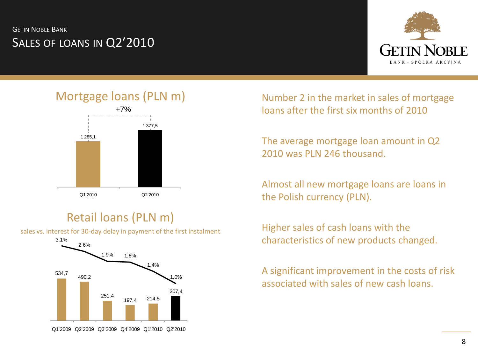**GETIN NOBLE BANK** SALES OF LOANS IN Q2'2010



Mortgage loans (PLN m)



#### Retail loans (PLN m)

sales vs. interest for 30-day delay in payment of the first instalment



Number 2 in the market in sales of mortgage loans after the first six months of 2010

The average mortgage loan amount in Q2 2010 was PLN 246 thousand.

Almost all new mortgage loans are loans in the Polish currency (PLN).

Higher sales of cash loans with the characteristics of new products changed.

A significant improvement in the costs of risk associated with sales of new cash loans.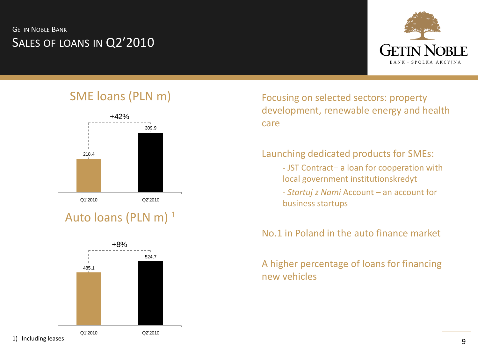#### **GETIN NOBLE BANK** SALES OF LOANS IN Q2'2010



#### SME loans (PLN m)



#### Auto loans (PLN m)  $^1$



Focusing on selected sectors: property development, renewable energy and health care

#### Launching dedicated products for SMEs:

- JST Contract– a loan for cooperation with local government institutionskredyt
- *Startuj z Nami* Account an account for business startups

No.1 in Poland in the auto finance market

#### A higher percentage of loans for financing new vehicles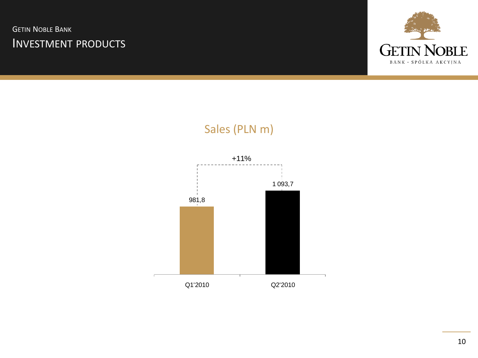**GETIN NOBLE BANK** INVESTMENT PRODUCTS



# 981,8 1 093,7 Q1'2010 Q2'2010 +11%

## Sales (PLN m)

10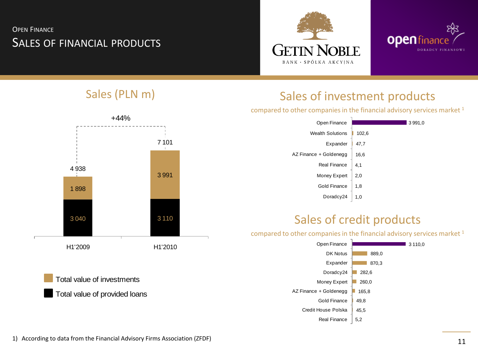#### OPEN FINANCE SALES OF FINANCIAL PRODUCTS







## Sales (PLN m) Sales of investment products

compared to other companies in the financial advisory services market <sup>1</sup>

| Open Finance            | 3 9 9 1 , 0 |
|-------------------------|-------------|
| <b>Wealth Solutions</b> | 102,6       |
| Expander                | 47,7        |
| AZ Finance + Goldenegg  | 16,6        |
| <b>Real Finance</b>     | 4,1         |
| Money Expert            | 2,0         |
| Gold Finance            | 1,8         |
| Doradcy24               | 1,0         |

#### Sales of credit products

compared to other companies in the financial advisory services market <sup>1</sup>  $\blacksquare$  3 110.0 889.0 870,3 282,6 260,0 165,8 49,8 45,5 5,2 Open Finance DK Notus Expander Doradcy24 Money Expert AZ Finance + Goldenegg Gold Finance Credit House Polska Real Finance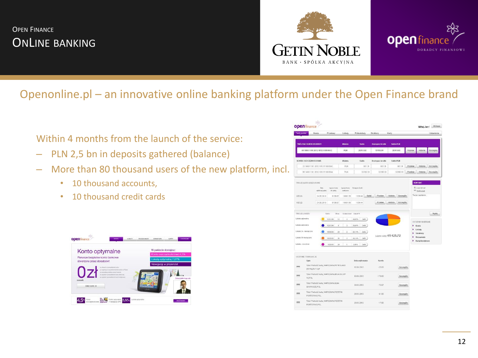#### OPEN FINANCE ONLINE BANKING





#### Openonline.pl – an innovative online banking platform under the Open Finance brand

Within 4 months from the launch of the service:

- PLN 2,5 bn in deposits gathered (balance)
- More than 80 thousand users of the new platform, incl.
	- 10 thousand accounts,
	- 10 thousand credit cards



| Twój portfel                  | Konta<br>Przelewy                                         | Lokaty                                                          | Polisolokaty                | Struktury          | Karty                                          |         |                                     | Ustawienia |
|-------------------------------|-----------------------------------------------------------|-----------------------------------------------------------------|-----------------------------|--------------------|------------------------------------------------|---------|-------------------------------------|------------|
| <b>TWOJ RACHUNEK OSOBISTY</b> |                                                           | Wakita                                                          | Saldo                       | Dostępne środki    | Saldo PLN                                      |         |                                     |            |
|                               | 60 1460 1181 2012 1012 5188 0042                          | PLN                                                             | 20761.02                    | 13158.09           | 20761.02                                       | Przelew | Historia                            | Szczegóły  |
| KONTA OSZCZEDNOŚCIOWE         |                                                           | Waluta                                                          | Saldo                       | Dostepne środki    | Saldo PLN                                      |         |                                     |            |
|                               | 33 1460 1181 2012 1012 5188 0043                          | PLN                                                             | 801.31                      | 801.31             | 801.31                                         | Przelew | Historia                            | Szczegóły  |
|                               | 06 1460 1191 2012 1012 5108 0044                          | PLN                                                             | 32398.18                    | 32399.18           | 32399.18                                       | Przelew | Historia                            | Szczegóły  |
| 108 (1)<br>IdS (2)            | validated sporty<br>do sphtly<br>24.06.2010<br>24.06.2010 | <b>cadrubenia</b><br>8198.67<br>10661.56<br>8196.67<br>10661.56 | Splač<br>1338.44<br>1338.44 | Przelew<br>Przelew | Historia<br>Szczegóły<br>Historia<br>Szczegóły |         | DIS Wyditi email<br>Twoje zapytanie |            |
| TWO JE LOKATY                 | Salde                                                     | Oliver<br>Limba (oka)                                           | Univiar %                   |                    |                                                |         |                                     | Wyślig     |
| Lokata optymalna              | 10212.86                                                  | 12<br>$\overline{a}$                                            | 24,65%<br>Znića:            |                    |                                                |         | OSTATINO WYBRANE                    |            |
| Lokata optynalna              | 10212.86                                                  | s<br>$\overline{z}$                                             | 24,65%<br>Zakiz             |                    |                                                | ١       | Konta                               |            |
| Lokate 24 - miesięczne        | 10008.00                                                  | 24<br>ä                                                         | 24,14%<br>Zolóz             |                    |                                                |         | Lokaty<br>Struktury                 |            |
|                               |                                                           | 36<br>$\overline{a}$                                            | 24.14%<br>Zakiż:            |                    | Laczne saldo: 41 425.72                        | ١       | Ustawienia                          |            |
| Loketa 36 miesięczna          | 10000.00                                                  |                                                                 |                             |                    |                                                |         | Karty kredytowe                     |            |
| Lokata - rewolver             | 1000.00                                                   | $^{24}$<br>ï                                                    | 2.41%<br>Zokla              |                    |                                                |         |                                     |            |
|                               |                                                           |                                                                 |                             |                    |                                                |         |                                     |            |
| OSTATHE TRANSANCJE<br>Opis    |                                                           |                                                                 | Data wykonania              | Kwota              |                                                |         |                                     |            |
| −<br>ST.PALM/710.P            | Tytut Platność kartą, WARSZAWA,PETROLAND                  |                                                                 | 02.06.2010                  | $-25.00$           | Szczegóły                                      |         |                                     |            |
| 10.POL                        | Tytut Platność kartą, WARSZAWA AELIA SKLEP                |                                                                 | 03.06.2010                  | $-178.00$          | Szczegóły                                      |         |                                     |            |
| <b>BKOROSZE,POL</b>           | Tytut Platność kartą, WARSZAWA,ALMA                       |                                                                 | 30.05.2010                  | $-76.07$           | Szczegóły                                      |         |                                     |            |
| PORTOFINO POL                 | Tytut Platność kartą, WARSZAWA, PIZZERIA                  |                                                                 | 28.05.2010                  | $-61.80$           | Szczegóły                                      |         |                                     |            |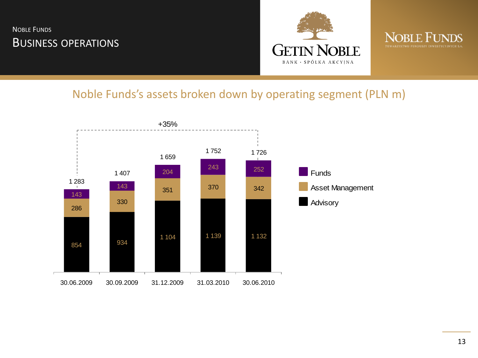#### NOBLE FUNDS **BUSINESS OPERATIONS**





#### Noble Funds's assets broken down by operating segment (PLN m)

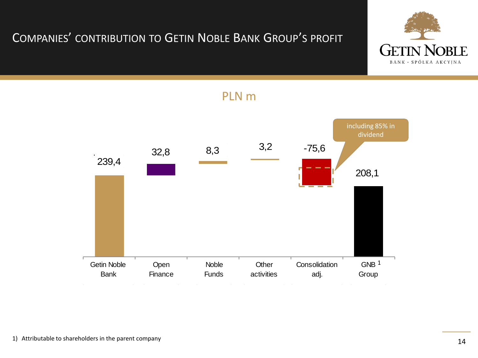## COMPANIES' CONTRIBUTION TO GETIN NOBLE BANK GROUP'S PROFIT





#### PLN m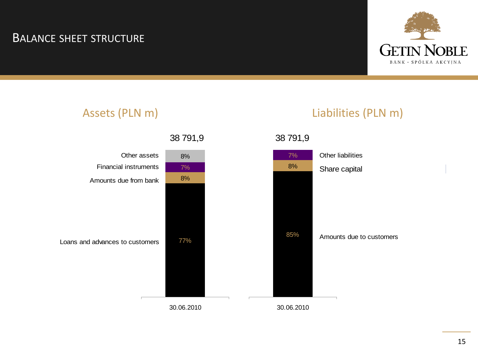#### BALANCE SHEET STRUCTURE



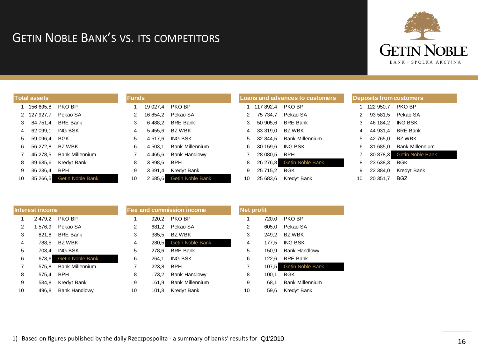#### GETIN NOBLE BANK'S VS. ITS COMPETITORS



|    | <b>Total assets</b> |                         |
|----|---------------------|-------------------------|
| 1  | 156 695.8           | PKO BP                  |
| 2  | 127 927.7           | Pekao SA                |
| 3  | 84 751.4            | <b>BRF Bank</b>         |
| 4  | 62 099.1            | <b>ING BSK</b>          |
| 5  | 59 096.4            | BGK                     |
| 6  | 56 272.8            | <b>BZWBK</b>            |
| 7  | 45 278.5            | <b>Bank Millennium</b>  |
| 8  | 39 635.6            | Kredyt Bank             |
| 9  | 36 236.4            | BPH                     |
| 10 | 35 266.5            | <b>Getin Noble Bank</b> |

| <b>Funds</b>   |             |                        |
|----------------|-------------|------------------------|
| 1              | 19 027,4    | PKO BP                 |
| 2              | 16 854.2    | Pekao SA               |
| 3              | 6488.2      | <b>BRF Bank</b>        |
| 4              | 5 455.6     | <b>BZ WBK</b>          |
| 5              | 4517,6      | ING BSK                |
| 6              | 4 503.1     | <b>Bank Millennium</b> |
| $\overline{7}$ | 4 4 6 5.6   | <b>Bank Handlowy</b>   |
| 8              | 3898.6      | BPH                    |
| 9              | 3 3 9 1 , 4 | <b>Kredyt Bank</b>     |
| 10             | 2685,6      | Getin Noble Bank       |

| <b>Loans and advances to customers</b> |           |                         |    |   |           | <b>Deposits from customers</b> |
|----------------------------------------|-----------|-------------------------|----|---|-----------|--------------------------------|
| 1                                      | 117 892.4 | <b>PKO BP</b>           |    | 1 | 122 950,7 | <b>PKO BP</b>                  |
| 2                                      | 75 734.7  | Pekao SA                |    | 2 | 93 581.5  | Pekao SA                       |
| 3                                      | 50 905,6  | <b>BRE Bank</b>         |    | 3 | 46 184.2  | <b>ING BSK</b>                 |
| 4                                      | 33 319,0  | <b>BZ WBK</b>           |    | 4 | 44 931.4  | <b>BRE Bank</b>                |
| 5                                      | 32 844.5  | <b>Bank Millennium</b>  |    | 5 | 42 765,0  | <b>BZ WBK</b>                  |
| 6                                      | 30 159,6  | <b>ING BSK</b>          |    | 6 | 31 685,0  | <b>Bank Millennium</b>         |
| 7                                      | 28 080,5  | BPH                     |    | 7 | 30 878.3  | <b>Getin Noble Bank</b>        |
| 8                                      | 26 276,8  | <b>Getin Noble Bank</b> |    | 8 | 23 638,3  | <b>BGK</b>                     |
| 9                                      | 25 715,2  | <b>BGK</b>              |    | 9 | 22 384.0  | <b>Kredyt Bank</b>             |
| 10                                     | 25 683.6  | Kredyt Bank             | 10 |   | 20 351,7  | <b>BGŻ</b>                     |

|                | Interest income |                         |
|----------------|-----------------|-------------------------|
| 1              | 2 479.2         | PKO BP                  |
| 2              | 1 576,9         | Pekao SA                |
| 3              | 821.8           | <b>BRE Bank</b>         |
| 4              | 788,5           | <b>BZ WBK</b>           |
| 5              | 703.4           | <b>ING BSK</b>          |
| 6              | 673,6           | <b>Getin Noble Bank</b> |
| $\overline{7}$ | 575.8           | <b>Bank Millennium</b>  |
| 8              | 575.4           | BPH                     |
| 9              | 534.8           | Kredyt Bank             |
| 10             | 496.8           | <b>Bank Handlowy</b>    |

|                |       | ee and commission income | Net r |
|----------------|-------|--------------------------|-------|
| 1              | 920,2 | <b>PKO BP</b>            | 1     |
| $\overline{2}$ | 681,2 | Pekao SA                 | 2     |
| 3              | 385,5 | <b>BZ WBK</b>            | 3     |
| 4              | 280,5 | Getin Noble Bank         | 4     |
| 5              | 278,6 | <b>BRE Bank</b>          | 5     |
| 6              | 264.1 | <b>ING BSK</b>           | 6     |
| $\overline{7}$ | 223,8 | BPH                      | 7     |
| 8              | 173,2 | <b>Bank Handlowy</b>     | 8     |
| 9              | 161,9 | <b>Bank Millennium</b>   | 9     |
| 10             | 101,8 | Kredyt Bank              | 10    |

| <b>Net profit</b> |       |                         |
|-------------------|-------|-------------------------|
| 1                 | 720,0 | PKO BP                  |
| $\overline{2}$    | 605,0 | Pekao SA                |
| 3                 | 249.2 | <b>BZ WBK</b>           |
| 4                 | 177,5 | ING BSK                 |
| 5                 | 150.9 | <b>Bank Handlowy</b>    |
| 6                 | 122.6 | <b>BRF Bank</b>         |
| 7                 | 107,5 | <b>Getin Noble Bank</b> |
| 8                 | 100.1 | BGK                     |
| 9                 | 68,1  | <b>Bank Millennium</b>  |
| 10                | 59.6  | Kredyt Bank             |

1) Based on figures published by the daily Rzeczpospolita - a summary of banks' results for Q1'2010

**Fee and commission income**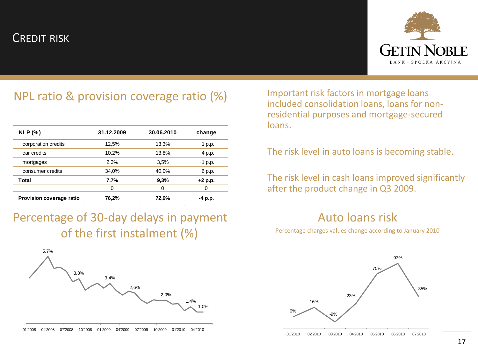#### CREDIT RISK



## NPL ratio & provision coverage ratio (%) Important risk factors in mortgage loans

| NLP(%)                   | 31.12.2009 | 30.06.2010 | change    |
|--------------------------|------------|------------|-----------|
| corporation credits      | 12,5%      | 13,3%      | $+1$ p.p. |
| car credits              | 10,2%      | 13,8%      | $+4$ p.p. |
| mortgages                | 2,3%       | 3,5%       | $+1$ p.p. |
| consumer credits         | 34,0%      | 40,0%      | $+6$ p.p. |
| Total                    | 7,7%       | 9,3%       | $+2$ p.p. |
|                          | 0          | 0          | 0         |
| Provision coverage ratio | 76,2%      | 72,6%      | -4 p.p.   |

Percentage of 30-day delays in payment of the first instalment (%)



included consolidation loans, loans for nonresidential purposes and mortgage-secured loans.

#### The risk level in auto loans is becoming stable.

The risk level in cash loans improved significantly after the product change in Q3 2009.

#### Auto loans risk

Percentage charges values change according to January 2010

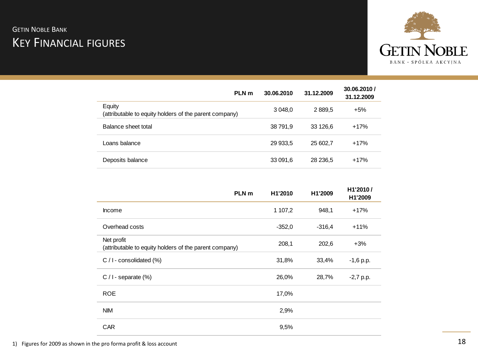#### **GETIN NOBLE BANK** KEY FINANCIAL FIGURES



| PLN m                                                            | 30.06.2010 | 31.12.2009 | 30.06.2010 /<br>31.12.2009 |
|------------------------------------------------------------------|------------|------------|----------------------------|
| Equity<br>(attributable to equity holders of the parent company) | 3 048,0    | 2889.5     | $+5%$                      |
| Balance sheet total                                              | 38 791,9   | 33 126.6   | $+17%$                     |
| Loans balance                                                    | 29 933,5   | 25 602.7   | $+17%$                     |
| Deposits balance                                                 | 33 091,6   | 28 236,5   | $+17%$                     |

|                                                                      | PLN <sub>m</sub> | H1'2010  | H1'2009  | H1'2010/<br>H1'2009 |
|----------------------------------------------------------------------|------------------|----------|----------|---------------------|
| <b>Income</b>                                                        |                  | 1 107,2  | 948,1    | $+17%$              |
| Overhead costs                                                       |                  | $-352,0$ | $-316,4$ | $+11%$              |
| Net profit<br>(attributable to equity holders of the parent company) |                  | 208,1    | 202,6    | $+3%$               |
| $C / I$ - consolidated $(\%)$                                        |                  | 31,8%    | 33,4%    | $-1,6$ p.p.         |
| $C / I$ - separate $(\%)$                                            |                  | 26,0%    | 28,7%    | $-2,7$ p.p.         |
| <b>ROE</b>                                                           |                  | 17,0%    |          |                     |
| <b>NIM</b>                                                           |                  | 2,9%     |          |                     |
| <b>CAR</b>                                                           |                  | 9,5%     |          |                     |